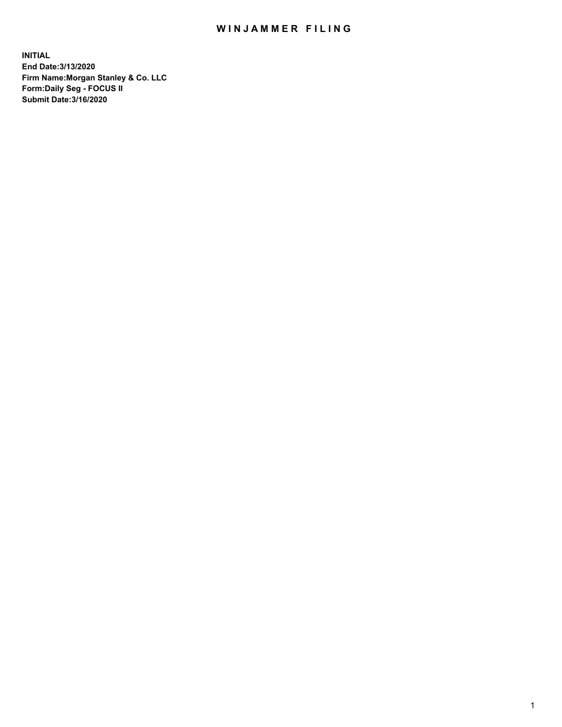## WIN JAMMER FILING

**INITIAL End Date:3/13/2020 Firm Name:Morgan Stanley & Co. LLC Form:Daily Seg - FOCUS II Submit Date:3/16/2020**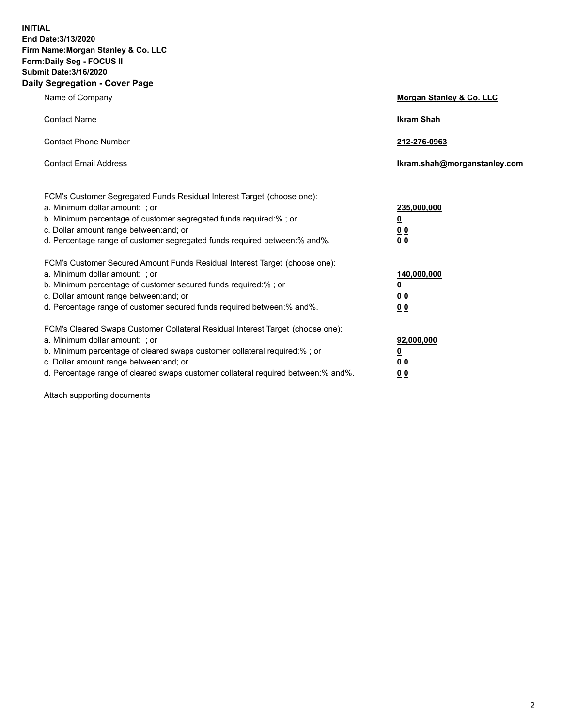**INITIAL End Date:3/13/2020 Firm Name:Morgan Stanley & Co. LLC Form:Daily Seg - FOCUS II Submit Date:3/16/2020 Daily Segregation - Cover Page**

| Name of Company                                                                                                                                                                                                                                                                                                                | <b>Morgan Stanley &amp; Co. LLC</b>                    |
|--------------------------------------------------------------------------------------------------------------------------------------------------------------------------------------------------------------------------------------------------------------------------------------------------------------------------------|--------------------------------------------------------|
| <b>Contact Name</b>                                                                                                                                                                                                                                                                                                            | <b>Ikram Shah</b>                                      |
| <b>Contact Phone Number</b>                                                                                                                                                                                                                                                                                                    | 212-276-0963                                           |
| <b>Contact Email Address</b>                                                                                                                                                                                                                                                                                                   | Ikram.shah@morganstanley.com                           |
| FCM's Customer Segregated Funds Residual Interest Target (choose one):<br>a. Minimum dollar amount: : or<br>b. Minimum percentage of customer segregated funds required:%; or<br>c. Dollar amount range between: and; or<br>d. Percentage range of customer segregated funds required between:% and%.                          | 235,000,000<br><u>0</u><br><u>00</u><br><u>00</u>      |
| FCM's Customer Secured Amount Funds Residual Interest Target (choose one):<br>a. Minimum dollar amount: ; or<br>b. Minimum percentage of customer secured funds required:%; or<br>c. Dollar amount range between: and; or<br>d. Percentage range of customer secured funds required between:% and%.                            | 140,000,000<br><u>0</u><br><u>00</u><br>0 <sub>0</sub> |
| FCM's Cleared Swaps Customer Collateral Residual Interest Target (choose one):<br>a. Minimum dollar amount: ; or<br>b. Minimum percentage of cleared swaps customer collateral required:% ; or<br>c. Dollar amount range between: and; or<br>d. Percentage range of cleared swaps customer collateral required between:% and%. | 92,000,000<br><u>0</u><br><u>00</u><br>00              |

Attach supporting documents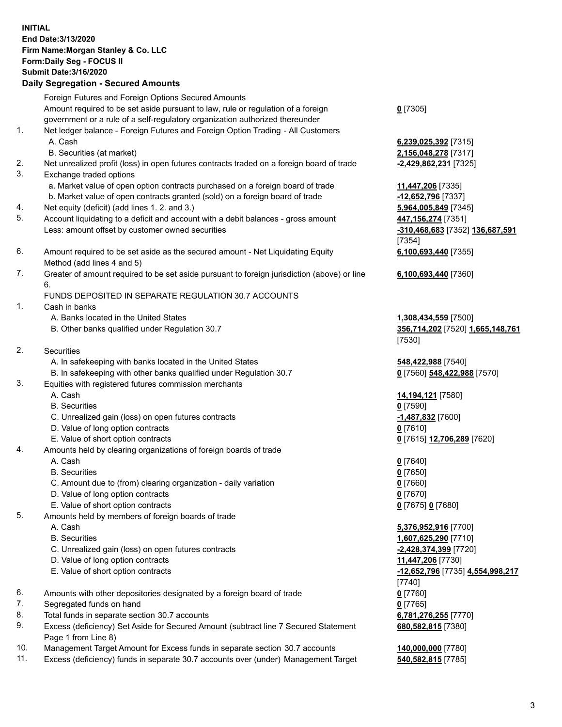## **INITIAL End Date:3/13/2020 Firm Name:Morgan Stanley & Co. LLC Form:Daily Seg - FOCUS II Submit Date:3/16/2020 Daily Segregation - Secured Amounts** Foreign Futures and Foreign Options Secured Amounts Amount required to be set aside pursuant to law, rule or regulation of a foreign government or a rule of a self-regulatory organization authorized thereunder 1. Net ledger balance - Foreign Futures and Foreign Option Trading - All Customers A. Cash **6,239,025,392** [7315] B. Securities (at market) **2,156,048,278** [7317] 2. Net unrealized profit (loss) in open futures contracts traded on a foreign board of trade **-2,429,862,231** [7325] 3. Exchange traded options a. Market value of open option contracts purchased on a foreign board of trade **11,447,206** [7335]

- b. Market value of open contracts granted (sold) on a foreign board of trade **-12,652,796** [7337]
- 4. Net equity (deficit) (add lines 1. 2. and 3.) **5,964,005,849** [7345]
- 5. Account liquidating to a deficit and account with a debit balances gross amount **447,156,274** [7351] Less: amount offset by customer owned securities **-310,468,683** [7352] **136,687,591**
- 6. Amount required to be set aside as the secured amount Net Liquidating Equity Method (add lines 4 and 5)
- 7. Greater of amount required to be set aside pursuant to foreign jurisdiction (above) or line 6.

## FUNDS DEPOSITED IN SEPARATE REGULATION 30.7 ACCOUNTS

- 1. Cash in banks
	- A. Banks located in the United States **1,308,434,559** [7500]
	- B. Other banks qualified under Regulation 30.7 **356,714,202** [7520] **1,665,148,761**
- 2. Securities
	- A. In safekeeping with banks located in the United States **548,422,988** [7540]
	- B. In safekeeping with other banks qualified under Regulation 30.7 **0** [7560] **548,422,988** [7570]
- 3. Equities with registered futures commission merchants
	-
	- B. Securities **0** [7590]
	- C. Unrealized gain (loss) on open futures contracts **-1,487,832** [7600]
	- D. Value of long option contracts **0** [7610]
- E. Value of short option contracts **0** [7615] **12,706,289** [7620]
- 4. Amounts held by clearing organizations of foreign boards of trade
	- A. Cash **0** [7640]
	- B. Securities **0** [7650]
	- C. Amount due to (from) clearing organization daily variation **0** [7660]
	- D. Value of long option contracts **0** [7670]
	- E. Value of short option contracts **0** [7675] **0** [7680]
- 5. Amounts held by members of foreign boards of trade
	-
	-
	- C. Unrealized gain (loss) on open futures contracts **-2,428,374,399** [7720]
	- D. Value of long option contracts **11,447,206** [7730]
	- E. Value of short option contracts **-12,652,796** [7735] **4,554,998,217**
- 6. Amounts with other depositories designated by a foreign board of trade **0** [7760]
- 7. Segregated funds on hand **0** [7765]
- 8. Total funds in separate section 30.7 accounts **6,781,276,255** [7770]
- 9. Excess (deficiency) Set Aside for Secured Amount (subtract line 7 Secured Statement Page 1 from Line 8)
- 10. Management Target Amount for Excess funds in separate section 30.7 accounts **140,000,000** [7780]
- 11. Excess (deficiency) funds in separate 30.7 accounts over (under) Management Target **540,582,815** [7785]

**0** [7305]

[7354] **6,100,693,440** [7355]

**6,100,693,440** [7360]

[7530]

A. Cash **14,194,121** [7580]

 A. Cash **5,376,952,916** [7700] B. Securities **1,607,625,290** [7710] [7740] **680,582,815** [7380]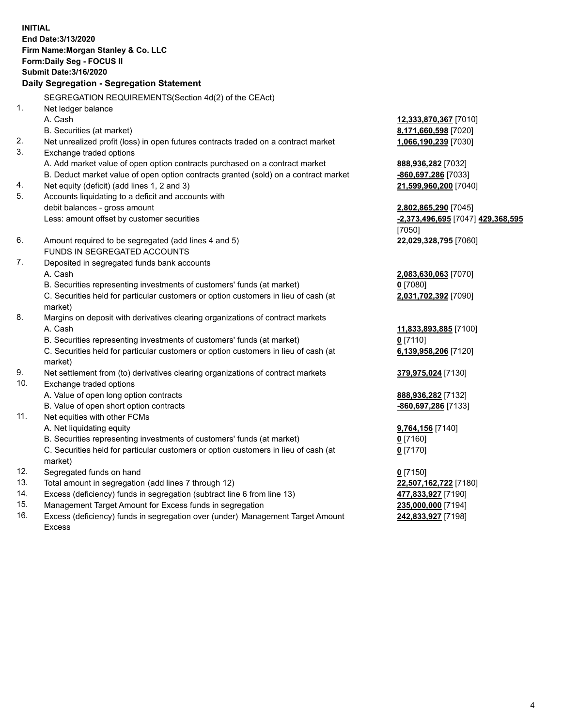**INITIAL End Date:3/13/2020 Firm Name:Morgan Stanley & Co. LLC Form:Daily Seg - FOCUS II Submit Date:3/16/2020 Daily Segregation - Segregation Statement** SEGREGATION REQUIREMENTS(Section 4d(2) of the CEAct) 1. Net ledger balance A. Cash **12,333,870,367** [7010] B. Securities (at market) **8,171,660,598** [7020] 2. Net unrealized profit (loss) in open futures contracts traded on a contract market **1,066,190,239** [7030] 3. Exchange traded options A. Add market value of open option contracts purchased on a contract market **888,936,282** [7032] B. Deduct market value of open option contracts granted (sold) on a contract market **-860,697,286** [7033] 4. Net equity (deficit) (add lines 1, 2 and 3) **21,599,960,200** [7040] 5. Accounts liquidating to a deficit and accounts with debit balances - gross amount **2,802,865,290** [7045] Less: amount offset by customer securities **-2,373,496,695** [7047] **429,368,595** [7050] 6. Amount required to be segregated (add lines 4 and 5) **22,029,328,795** [7060] FUNDS IN SEGREGATED ACCOUNTS 7. Deposited in segregated funds bank accounts A. Cash **2,083,630,063** [7070] B. Securities representing investments of customers' funds (at market) **0** [7080] C. Securities held for particular customers or option customers in lieu of cash (at market) **2,031,702,392** [7090] 8. Margins on deposit with derivatives clearing organizations of contract markets A. Cash **11,833,893,885** [7100] B. Securities representing investments of customers' funds (at market) **0** [7110] C. Securities held for particular customers or option customers in lieu of cash (at market) **6,139,958,206** [7120] 9. Net settlement from (to) derivatives clearing organizations of contract markets **379,975,024** [7130] 10. Exchange traded options A. Value of open long option contracts **888,936,282** [7132] B. Value of open short option contracts **-860,697,286** [7133] 11. Net equities with other FCMs A. Net liquidating equity **9,764,156** [7140] B. Securities representing investments of customers' funds (at market) **0** [7160] C. Securities held for particular customers or option customers in lieu of cash (at market) **0** [7170] 12. Segregated funds on hand **0** [7150] 13. Total amount in segregation (add lines 7 through 12) **22,507,162,722** [7180] 14. Excess (deficiency) funds in segregation (subtract line 6 from line 13) **477,833,927** [7190] 15. Management Target Amount for Excess funds in segregation **235,000,000** [7194]

16. Excess (deficiency) funds in segregation over (under) Management Target Amount Excess

**242,833,927** [7198]